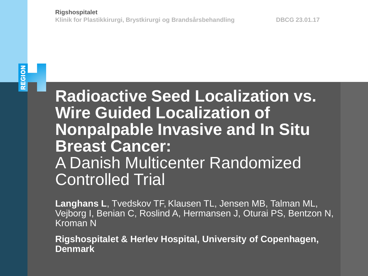# REGION

**Radioactive Seed Localization vs. Wire Guided Localization of Nonpalpable Invasive and In Situ Breast Cancer:** A Danish Multicenter Randomized Controlled Trial

**Langhans L**, Tvedskov TF, Klausen TL, Jensen MB, Talman ML, Vejborg I, Benian C, Roslind A, Hermansen J, Oturai PS, Bentzon N, Kroman N

**Rigshospitalet & Herlev Hospital, University of Copenhagen, Denmark**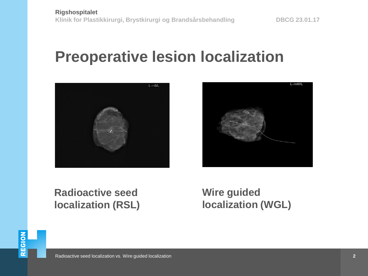#### **Preoperative lesion localization**





#### **Radioactive seed localization (RSL)**

**Wire guided localization (WGL)**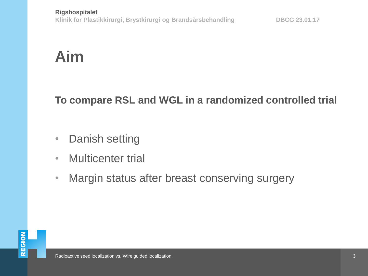# **Aim**

#### **To compare RSL and WGL in a randomized controlled trial**

- Danish setting
- Multicenter trial
- Margin status after breast conserving surgery

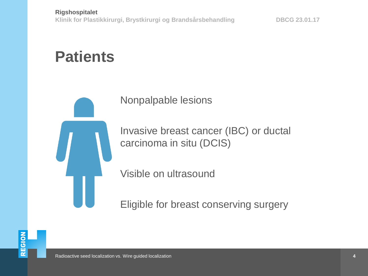# **Patients**



Nonpalpable lesions

Invasive breast cancer (IBC) or ductal carcinoma in situ (DCIS)

Visible on ultrasound

Eligible for breast conserving surgery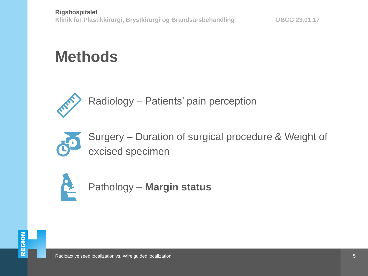# **Methods**



Radiology – Patients' pain perception



Surgery – Duration of surgical procedure & Weight of excised specimen



Pathology – **Margin status**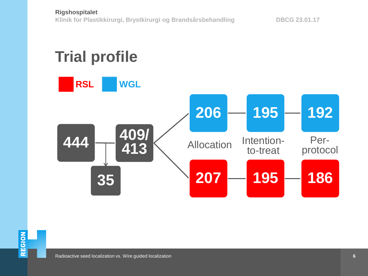

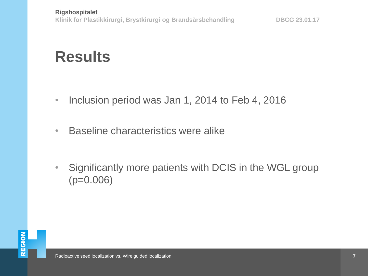## **Results**

- Inclusion period was Jan 1, 2014 to Feb 4, 2016
- Baseline characteristics were alike
- Significantly more patients with DCIS in the WGL group (p=0.006)

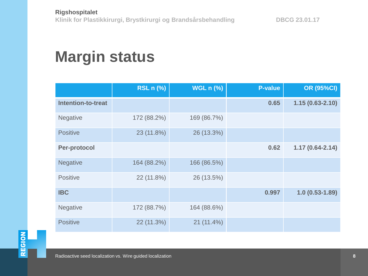# **Margin status**

|                           | <b>RSL n (%)</b> | <b>WGL n (%)</b> | <b>P-value</b> | <b>OR (95%CI)</b>   |
|---------------------------|------------------|------------------|----------------|---------------------|
| <b>Intention-to-treat</b> |                  |                  | 0.65           | $1.15(0.63 - 2.10)$ |
| Negative                  | 172 (88.2%)      | 169 (86.7%)      |                |                     |
| <b>Positive</b>           | 23 (11.8%)       | 26 (13.3%)       |                |                     |
| Per-protocol              |                  |                  | 0.62           | $1.17(0.64 - 2.14)$ |
| <b>Negative</b>           | 164 (88.2%)      | 166 (86.5%)      |                |                     |
| Positive                  | 22 (11.8%)       | 26 (13.5%)       |                |                     |
| <b>IBC</b>                |                  |                  | 0.997          | $1.0(0.53 - 1.89)$  |
| <b>Negative</b>           | 172 (88.7%)      | 164 (88.6%)      |                |                     |
| <b>Positive</b>           | 22 (11.3%)       | 21 (11.4%)       |                |                     |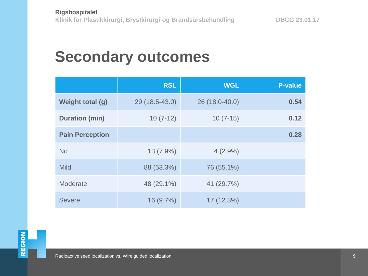### **Secondary outcomes**

|                        | <b>RSL</b>     | <b>WGL</b>     | <b>P-value</b> |
|------------------------|----------------|----------------|----------------|
| Weight total (g)       | 29 (18.5-43.0) | 26 (18.0-40.0) | 0.54           |
| <b>Duration (min)</b>  | $10(7-12)$     | $10(7-15)$     | 0.12           |
| <b>Pain Perception</b> |                |                | 0.28           |
| <b>No</b>              | 13 (7.9%)      | $4(2.9\%)$     |                |
| <b>Mild</b>            | 88 (53.3%)     | 76 (55.1%)     |                |
| Moderate               | 48 (29.1%)     | 41 (29.7%)     |                |
| <b>Severe</b>          | 16 (9.7%)      | 17 (12.3%)     |                |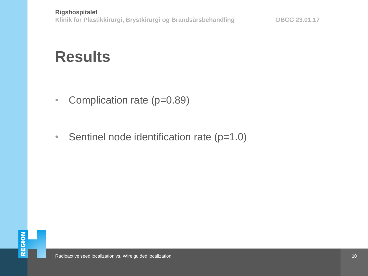### **Results**

- Complication rate (p=0.89)
- Sentinel node identification rate (p=1.0)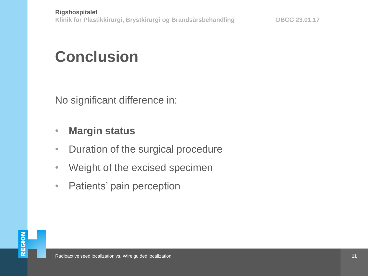# **Conclusion**

No significant difference in:

#### • **Margin status**

- Duration of the surgical procedure
- Weight of the excised specimen
- Patients' pain perception

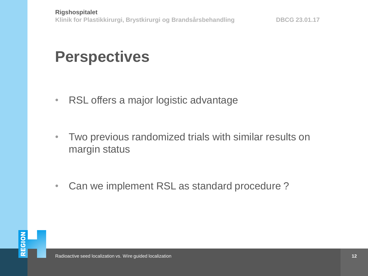### **Perspectives**

- RSL offers a major logistic advantage
- Two previous randomized trials with similar results on margin status
- Can we implement RSL as standard procedure ?